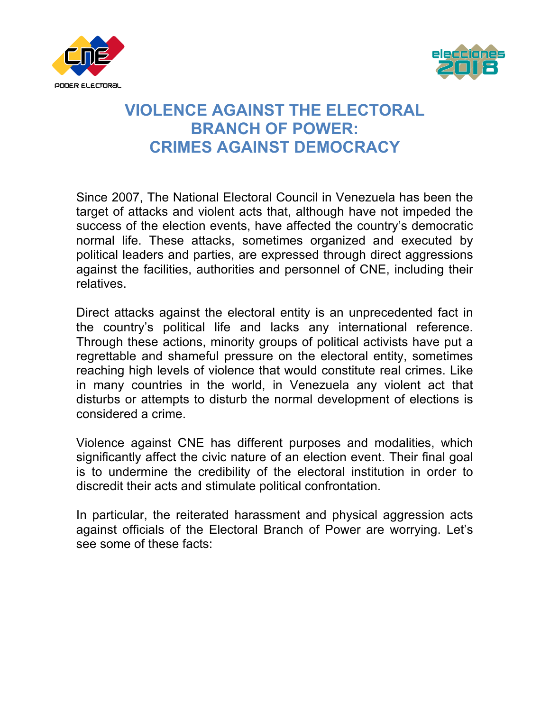



## **VIOLENCE AGAINST THE ELECTORAL BRANCH OF POWER: CRIMES AGAINST DEMOCRACY**

Since 2007, The National Electoral Council in Venezuela has been the target of attacks and violent acts that, although have not impeded the success of the election events, have affected the country's democratic normal life. These attacks, sometimes organized and executed by political leaders and parties, are expressed through direct aggressions against the facilities, authorities and personnel of CNE, including their relatives.

Direct attacks against the electoral entity is an unprecedented fact in the country's political life and lacks any international reference. Through these actions, minority groups of political activists have put a regrettable and shameful pressure on the electoral entity, sometimes reaching high levels of violence that would constitute real crimes. Like in many countries in the world, in Venezuela any violent act that disturbs or attempts to disturb the normal development of elections is considered a crime.

Violence against CNE has different purposes and modalities, which significantly affect the civic nature of an election event. Their final goal is to undermine the credibility of the electoral institution in order to discredit their acts and stimulate political confrontation.

In particular, the reiterated harassment and physical aggression acts against officials of the Electoral Branch of Power are worrying. Let's see some of these facts: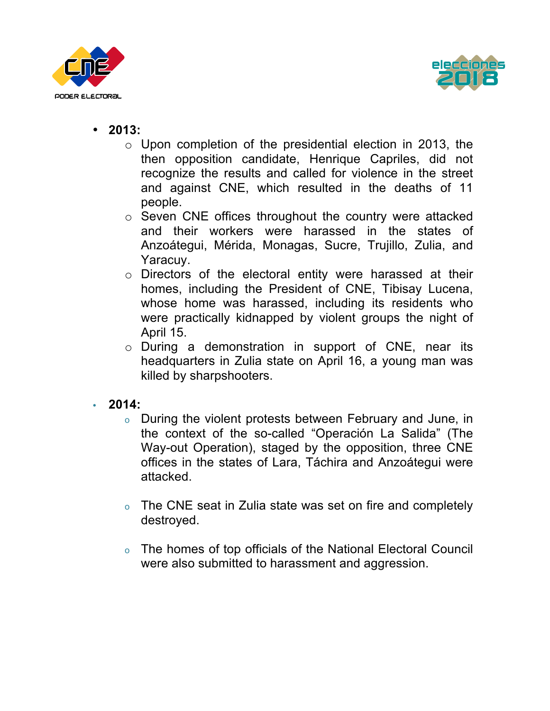



- **2013:**
	- $\circ$  Upon completion of the presidential election in 2013, the then opposition candidate, Henrique Capriles, did not recognize the results and called for violence in the street and against CNE, which resulted in the deaths of 11 people.
	- o Seven CNE offices throughout the country were attacked and their workers were harassed in the states of Anzoátegui, Mérida, Monagas, Sucre, Trujillo, Zulia, and Yaracuy.
	- o Directors of the electoral entity were harassed at their homes, including the President of CNE, Tibisay Lucena, whose home was harassed, including its residents who were practically kidnapped by violent groups the night of April 15.
	- o During a demonstration in support of CNE, near its headquarters in Zulia state on April 16, a young man was killed by sharpshooters.
- **2014:**
	- o During the violent protests between February and June, in the context of the so-called "Operación La Salida" (The Way-out Operation), staged by the opposition, three CNE offices in the states of Lara, Táchira and Anzoátegui were attacked.
	- o The CNE seat in Zulia state was set on fire and completely destroyed.
	- o The homes of top officials of the National Electoral Council were also submitted to harassment and aggression.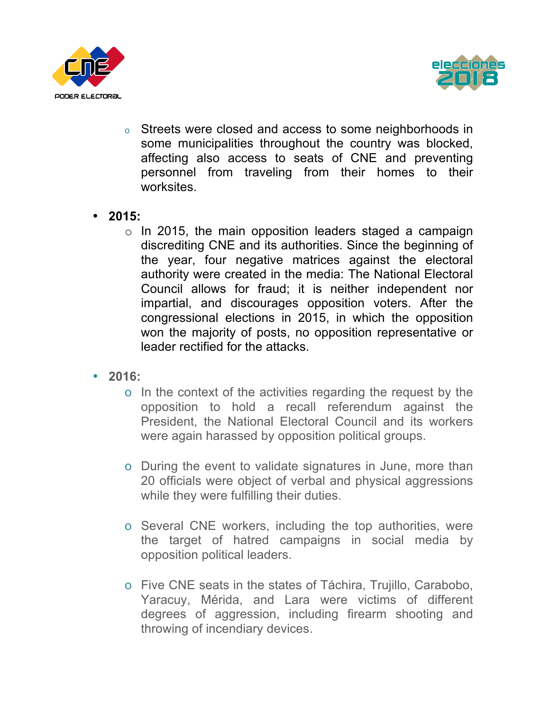



- o Streets were closed and access to some neighborhoods in some municipalities throughout the country was blocked, affecting also access to seats of CNE and preventing personnel from traveling from their homes to their worksites.
- **2015:**
	- o In 2015, the main opposition leaders staged a campaign discrediting CNE and its authorities. Since the beginning of the year, four negative matrices against the electoral authority were created in the media: The National Electoral Council allows for fraud; it is neither independent nor impartial, and discourages opposition voters. After the congressional elections in 2015, in which the opposition won the majority of posts, no opposition representative or leader rectified for the attacks.
- **2016:**
	- o In the context of the activities regarding the request by the opposition to hold a recall referendum against the President, the National Electoral Council and its workers were again harassed by opposition political groups.
	- o During the event to validate signatures in June, more than 20 officials were object of verbal and physical aggressions while they were fulfilling their duties.
	- o Several CNE workers, including the top authorities, were the target of hatred campaigns in social media by opposition political leaders.
	- o Five CNE seats in the states of Táchira, Trujillo, Carabobo, Yaracuy, Mérida, and Lara were victims of different degrees of aggression, including firearm shooting and throwing of incendiary devices.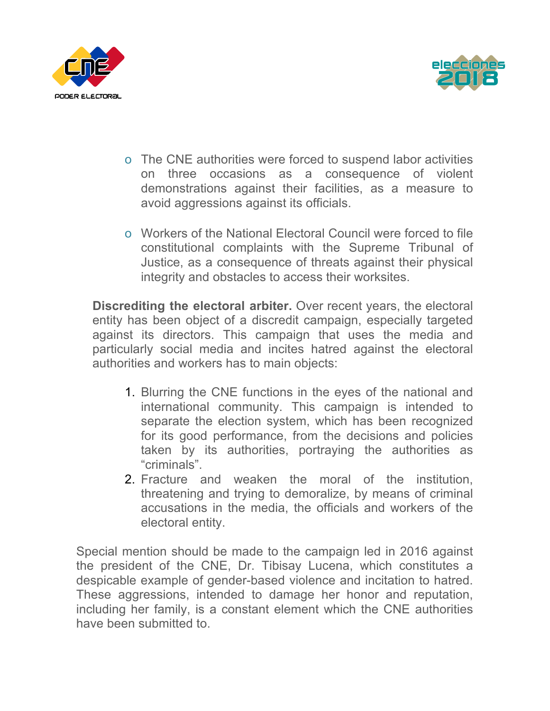



- o The CNE authorities were forced to suspend labor activities on three occasions as a consequence of violent demonstrations against their facilities, as a measure to avoid aggressions against its officials.
- o Workers of the National Electoral Council were forced to file constitutional complaints with the Supreme Tribunal of Justice, as a consequence of threats against their physical integrity and obstacles to access their worksites.

**Discrediting the electoral arbiter.** Over recent years, the electoral entity has been object of a discredit campaign, especially targeted against its directors. This campaign that uses the media and particularly social media and incites hatred against the electoral authorities and workers has to main objects:

- 1. Blurring the CNE functions in the eyes of the national and international community. This campaign is intended to separate the election system, which has been recognized for its good performance, from the decisions and policies taken by its authorities, portraying the authorities as "criminals".
- 2. Fracture and weaken the moral of the institution, threatening and trying to demoralize, by means of criminal accusations in the media, the officials and workers of the electoral entity.

Special mention should be made to the campaign led in 2016 against the president of the CNE, Dr. Tibisay Lucena, which constitutes a despicable example of gender-based violence and incitation to hatred. These aggressions, intended to damage her honor and reputation, including her family, is a constant element which the CNE authorities have been submitted to.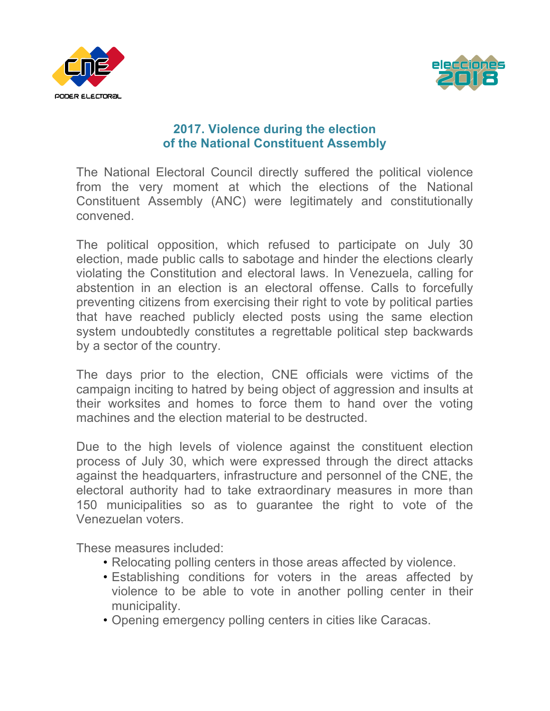



## **2017. Violence during the election of the National Constituent Assembly**

The National Electoral Council directly suffered the political violence from the very moment at which the elections of the National Constituent Assembly (ANC) were legitimately and constitutionally convened.

The political opposition, which refused to participate on July 30 election, made public calls to sabotage and hinder the elections clearly violating the Constitution and electoral laws. In Venezuela, calling for abstention in an election is an electoral offense. Calls to forcefully preventing citizens from exercising their right to vote by political parties that have reached publicly elected posts using the same election system undoubtedly constitutes a regrettable political step backwards by a sector of the country.

The days prior to the election, CNE officials were victims of the campaign inciting to hatred by being object of aggression and insults at their worksites and homes to force them to hand over the voting machines and the election material to be destructed.

Due to the high levels of violence against the constituent election process of July 30, which were expressed through the direct attacks against the headquarters, infrastructure and personnel of the CNE, the electoral authority had to take extraordinary measures in more than 150 municipalities so as to guarantee the right to vote of the Venezuelan voters.

These measures included:

- Relocating polling centers in those areas affected by violence.
- Establishing conditions for voters in the areas affected by violence to be able to vote in another polling center in their municipality.
- Opening emergency polling centers in cities like Caracas.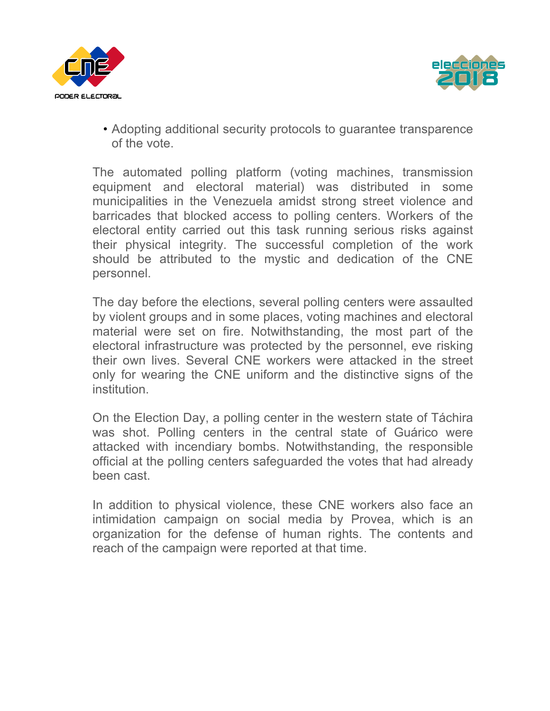



• Adopting additional security protocols to guarantee transparence of the vote.

The automated polling platform (voting machines, transmission equipment and electoral material) was distributed in some municipalities in the Venezuela amidst strong street violence and barricades that blocked access to polling centers. Workers of the electoral entity carried out this task running serious risks against their physical integrity. The successful completion of the work should be attributed to the mystic and dedication of the CNE personnel.

The day before the elections, several polling centers were assaulted by violent groups and in some places, voting machines and electoral material were set on fire. Notwithstanding, the most part of the electoral infrastructure was protected by the personnel, eve risking their own lives. Several CNE workers were attacked in the street only for wearing the CNE uniform and the distinctive signs of the institution.

On the Election Day, a polling center in the western state of Táchira was shot. Polling centers in the central state of Guárico were attacked with incendiary bombs. Notwithstanding, the responsible official at the polling centers safeguarded the votes that had already been cast.

In addition to physical violence, these CNE workers also face an intimidation campaign on social media by Provea, which is an organization for the defense of human rights. The contents and reach of the campaign were reported at that time.